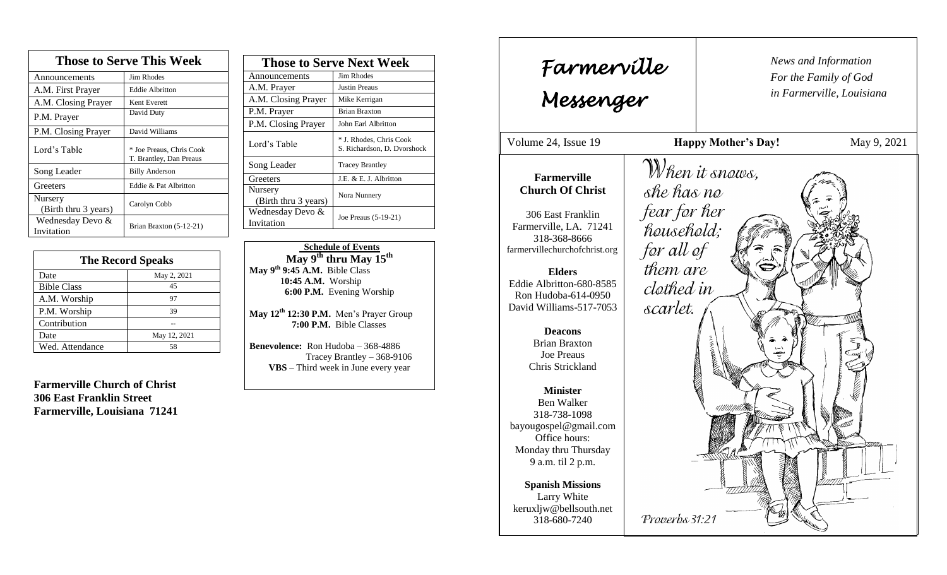| <b>Those to Serve This Week</b> |                                                     |  |
|---------------------------------|-----------------------------------------------------|--|
| Announcements                   | Jim Rhodes                                          |  |
| A.M. First Prayer               | Eddie Albritton                                     |  |
| A.M. Closing Prayer             | Kent Everett                                        |  |
| P.M. Prayer                     | David Duty                                          |  |
| P.M. Closing Prayer             | David Williams                                      |  |
| Lord's Table                    | * Joe Preaus, Chris Cook<br>T. Brantley, Dan Preaus |  |
| Song Leader                     | <b>Billy Anderson</b>                               |  |
| Greeters                        | Eddie & Pat Albritton                               |  |
| Nursery<br>(Birth thru 3 years) | Carolyn Cobb                                        |  |
| Wednesday Devo &<br>Invitation  | Brian Braxton (5-12-21)                             |  |

| <b>The Record Speaks</b> |              |
|--------------------------|--------------|
| Date                     | May 2, 2021  |
| <b>Bible Class</b>       | 45           |
| A.M. Worship             | 97           |
| P.M. Worship             | 39           |
| Contribution             |              |
| Date                     | May 12, 2021 |
| Wed. Attendance          | 58           |

**Farmerville Church of Christ 306 East Franklin Street Farmerville, Louisiana 71241**

| <b>Those to Serve Next Week</b> |                                                        |
|---------------------------------|--------------------------------------------------------|
| Announcements                   | Jim Rhodes                                             |
| A.M. Prayer                     | <b>Justin Preaus</b>                                   |
| A.M. Closing Prayer             | Mike Kerrigan                                          |
| P.M. Prayer                     | <b>Brian Braxton</b>                                   |
| P.M. Closing Prayer             | John Earl Albritton                                    |
| Lord's Table                    | * J. Rhodes, Chris Cook<br>S. Richardson, D. Dvorshock |
| Song Leader                     | <b>Tracey Brantley</b>                                 |
| Greeters                        | J.E. & E. J. Albritton                                 |
| Nursery<br>(Birth thru 3 years) | Nora Nunnery                                           |
| Wednesday Devo &<br>Invitation  | Joe Preaus (5-19-21)                                   |

 **Schedule of Events May 9 th thru May 15th May 9 th 9:45 A.M.** Bible Class 1**0:45 A.M.** Worship  **6:00 P.M.** Evening Worship

**May 12th 12:30 P.M.** Men's Prayer Group **7:00 P.M.** Bible Classes

**Benevolence:** Ron Hudoba – 368-4886 Tracey Brantley – 368-9106 **VBS** – Third week in June every year